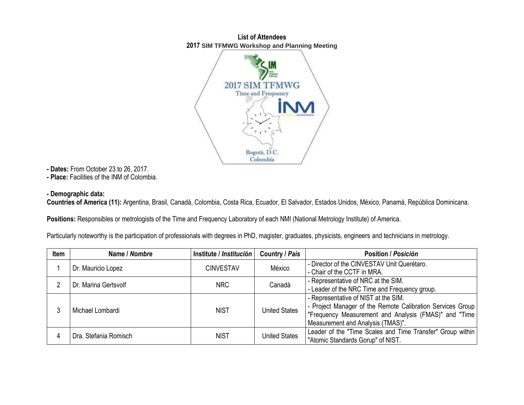## **List of Attendees 2017 SIM TFMWG Workshop and Planning Meeting**



**- Dates:** From October 23 to 26, 2017.

**- Place:** Facilities of the INM of Colombia.

## **- Demographic data:**

**Countries of America (11):** Argentina, Brasil, Canadá, Colombia, Costa Rica, Ecuador, El Salvador, Estados Unidos, México, Panamá, República Dominicana.

**Positions:** Responsibles or metrologists of the Time and Frequency Laboratory of each NMI (National Metrology Institute) of America.

Particularly noteworthy is the participation of professionals with degrees in PhD, magister, graduates, physicists, engineers and technicians in metrology.

| Item | Name / Nombre         | Institute / Institución | Country / País       | Position / Posición                                        |
|------|-----------------------|-------------------------|----------------------|------------------------------------------------------------|
|      | Dr. Mauricio Lopez    | <b>CINVESTAV</b>        | México               | - Director of the CINVESTAV Unit Querétaro.                |
|      |                       |                         |                      | - Chair of the CCTF in MRA.                                |
|      | Dr. Marina Gertsvolf  | <b>NRC</b>              | Canadá               | - Representative of NRC at the SIM.                        |
|      |                       |                         |                      | - Leader of the NRC Time and Frequency group.              |
|      | Michael Lombardi      | <b>NIST</b>             | <b>United States</b> | - Representative of NIST at the SIM.                       |
|      |                       |                         |                      | - Project Manager of the Remote Calibration Services Group |
|      |                       |                         |                      | "Frequency Measurement and Analysis (FMAS)" and "Time      |
|      |                       |                         |                      | Measurement and Analysis (TMAS)".                          |
|      | Dra. Stefania Romisch | <b>NIST</b>             | <b>United States</b> | Leader of the "Time Scales and Time Transfer" Group within |
|      |                       |                         |                      | "Atomic Standards Gorup" of NIST.                          |